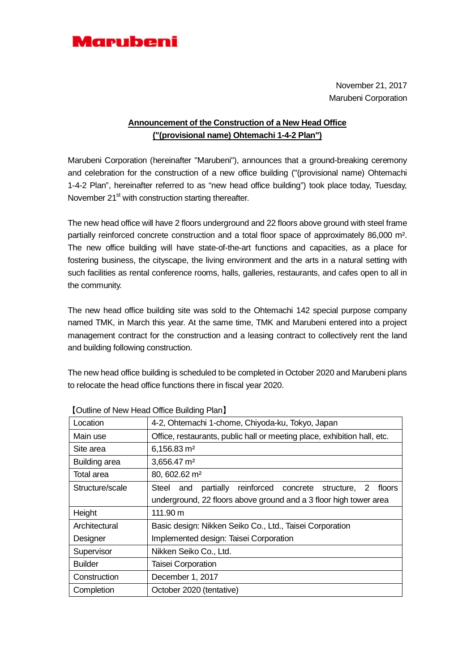

November 21, 2017 Marubeni Corporation

## **Announcement of the Construction of a New Head Office ("(provisional name) Ohtemachi 1-4-2 Plan")**

Marubeni Corporation (hereinafter "Marubeni"), announces that a ground-breaking ceremony and celebration for the construction of a new office building ("(provisional name) Ohtemachi 1-4-2 Plan", hereinafter referred to as "new head office building") took place today, Tuesday, November 21<sup>st</sup> with construction starting thereafter.

The new head office will have 2 floors underground and 22 floors above ground with steel frame partially reinforced concrete construction and a total floor space of approximately 86,000 m². The new office building will have state-of-the-art functions and capacities, as a place for fostering business, the cityscape, the living environment and the arts in a natural setting with such facilities as rental conference rooms, halls, galleries, restaurants, and cafes open to all in the community.

The new head office building site was sold to the Ohtemachi 142 special purpose company named TMK, in March this year. At the same time, TMK and Marubeni entered into a project management contract for the construction and a leasing contract to collectively rent the land and building following construction.

The new head office building is scheduled to be completed in October 2020 and Marubeni plans to relocate the head office functions there in fiscal year 2020.

| Location        | 4-2, Ohtemachi 1-chome, Chiyoda-ku, Tokyo, Japan                         |  |
|-----------------|--------------------------------------------------------------------------|--|
| Main use        | Office, restaurants, public hall or meeting place, exhibition hall, etc. |  |
| Site area       | 6,156.83 m <sup>2</sup>                                                  |  |
| Building area   | 3,656.47 m <sup>2</sup>                                                  |  |
| Total area      | 80, 602.62 m <sup>2</sup>                                                |  |
| Structure/scale | partially reinforced concrete structure, 2 floors<br>Steel and           |  |
|                 | underground, 22 floors above ground and a 3 floor high tower area        |  |
| Height          | 111.90 m                                                                 |  |
| Architectural   | Basic design: Nikken Seiko Co., Ltd., Taisei Corporation                 |  |
| Designer        | Implemented design: Taisei Corporation                                   |  |
| Supervisor      | Nikken Seiko Co., Ltd.                                                   |  |
| <b>Builder</b>  | Taisei Corporation                                                       |  |
| Construction    | December 1, 2017                                                         |  |
| Completion      | October 2020 (tentative)                                                 |  |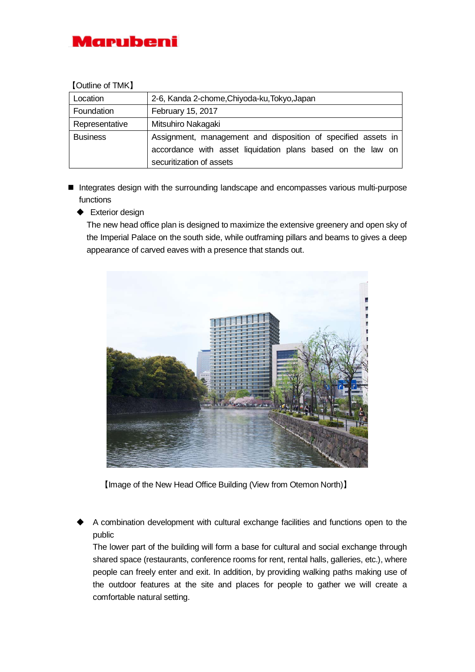

## 【Outline of TMK】

| Location        | 2-6, Kanda 2-chome, Chiyoda-ku, Tokyo, Japan                                                                                                             |
|-----------------|----------------------------------------------------------------------------------------------------------------------------------------------------------|
| Foundation      | February 15, 2017                                                                                                                                        |
| Representative  | Mitsuhiro Nakagaki                                                                                                                                       |
| <b>Business</b> | Assignment, management and disposition of specified assets in<br>accordance with asset liquidation plans based on the law on<br>securitization of assets |

- Integrates design with the surrounding landscape and encompasses various multi-purpose functions
	- **←** Exterior design

The new head office plan is designed to maximize the extensive greenery and open sky of the Imperial Palace on the south side, while outframing pillars and beams to gives a deep appearance of carved eaves with a presence that stands out.



【Image of the New Head Office Building (View from Otemon North)】

 A combination development with cultural exchange facilities and functions open to the public

The lower part of the building will form a base for cultural and social exchange through shared space (restaurants, conference rooms for rent, rental halls, galleries, etc.), where people can freely enter and exit. In addition, by providing walking paths making use of the outdoor features at the site and places for people to gather we will create a comfortable natural setting.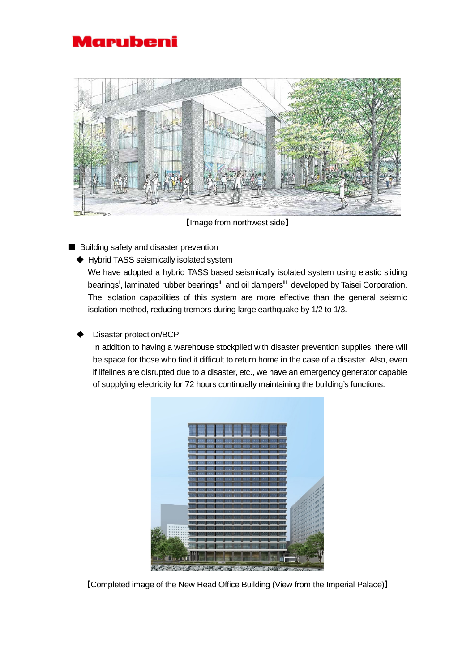



【Image from northwest side】

- Building safety and disaster prevention
	- ◆ Hybrid TASS seismically isolated system

 We have adopted a hybrid TASS based seismically isolated system using elastic sliding bear[i](#page-3-0)ngs<sup>i</sup>, laminated rubber bearings<sup>ii</sup> and oil dampers<sup>[iii](#page-3-2)</sup> developed by Taisei Corporation. The isolation capabilities of this system are more effective than the general seismic isolation method, reducing tremors during large earthquake by 1/2 to 1/3.

## Disaster protection/BCP

In addition to having a warehouse stockpiled with disaster prevention supplies, there will be space for those who find it difficult to return home in the case of a disaster. Also, even if lifelines are disrupted due to a disaster, etc., we have an emergency generator capable of supplying electricity for 72 hours continually maintaining the building's functions.



【Completed image of the New Head Office Building (View from the Imperial Palace)】